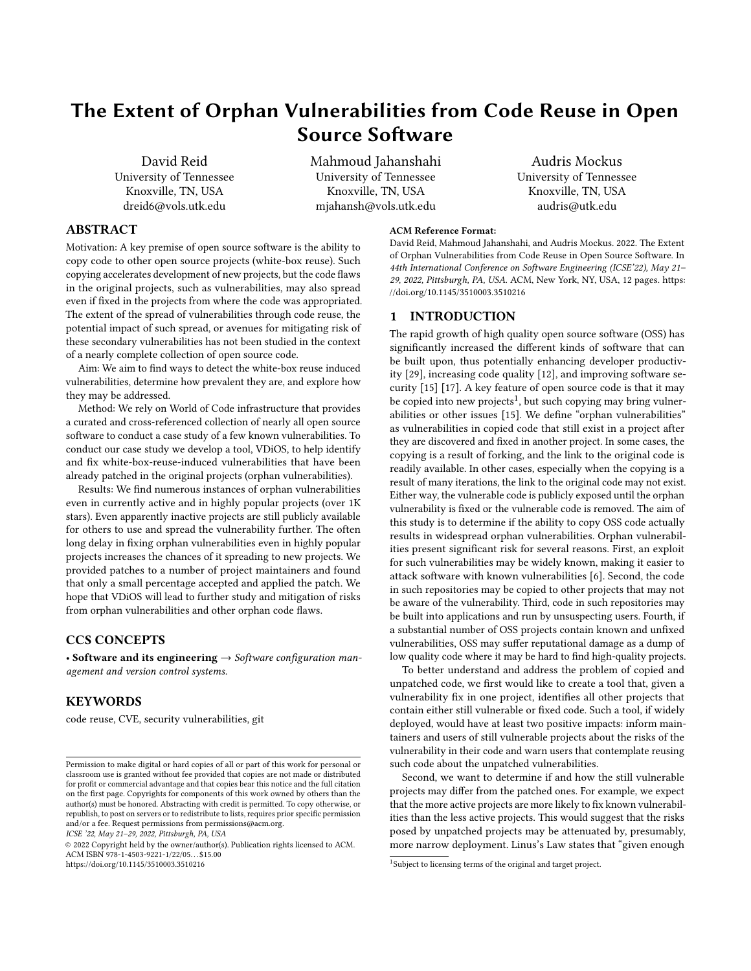# The Extent of Orphan Vulnerabilities from Code Reuse in Open Source Software

David Reid University of Tennessee Knoxville, TN, USA dreid6@vols.utk.edu

Mahmoud Jahanshahi University of Tennessee Knoxville, TN, USA mjahansh@vols.utk.edu

# ABSTRACT

Motivation: A key premise of open source software is the ability to copy code to other open source projects (white-box reuse). Such copying accelerates development of new projects, but the code flaws in the original projects, such as vulnerabilities, may also spread even if fixed in the projects from where the code was appropriated. The extent of the spread of vulnerabilities through code reuse, the potential impact of such spread, or avenues for mitigating risk of these secondary vulnerabilities has not been studied in the context of a nearly complete collection of open source code.

Aim: We aim to find ways to detect the white-box reuse induced vulnerabilities, determine how prevalent they are, and explore how they may be addressed.

Method: We rely on World of Code infrastructure that provides a curated and cross-referenced collection of nearly all open source software to conduct a case study of a few known vulnerabilities. To conduct our case study we develop a tool, VDiOS, to help identify and fix white-box-reuse-induced vulnerabilities that have been already patched in the original projects (orphan vulnerabilities).

Results: We find numerous instances of orphan vulnerabilities even in currently active and in highly popular projects (over 1K stars). Even apparently inactive projects are still publicly available for others to use and spread the vulnerability further. The often long delay in fixing orphan vulnerabilities even in highly popular projects increases the chances of it spreading to new projects. We provided patches to a number of project maintainers and found that only a small percentage accepted and applied the patch. We hope that VDiOS will lead to further study and mitigation of risks from orphan vulnerabilities and other orphan code flaws.

# CCS CONCEPTS

• Software and its engineering  $\rightarrow$  Software configuration management and version control systems.

## **KEYWORDS**

code reuse, CVE, security vulnerabilities, git

ICSE '22, May 21–29, 2022, Pittsburgh, PA, USA

© 2022 Copyright held by the owner/author(s). Publication rights licensed to ACM. ACM ISBN 978-1-4503-9221-1/22/05. . . \$15.00 <https://doi.org/10.1145/3510003.3510216>

#### ACM Reference Format:

David Reid, Mahmoud Jahanshahi, and Audris Mockus. 2022. The Extent of Orphan Vulnerabilities from Code Reuse in Open Source Software. In 44th International Conference on Software Engineering (ICSE'22), May 21– 29, 2022, Pittsburgh, PA, USA. ACM, New York, NY, USA, [12](#page-11-0) pages. [https:](https://doi.org/10.1145/3510003.3510216) [//doi.org/10.1145/3510003.3510216](https://doi.org/10.1145/3510003.3510216)

Audris Mockus University of Tennessee Knoxville, TN, USA audris@utk.edu

#### 1 INTRODUCTION

The rapid growth of high quality open source software (OSS) has significantly increased the different kinds of software that can be built upon, thus potentially enhancing developer productivity [\[29\]](#page-10-0), increasing code quality [\[12\]](#page-10-1), and improving software security [\[15\]](#page-10-2) [\[17\]](#page-10-3). A key feature of open source code is that it may be copied into new projects $^1$  $^1$ , but such copying may bring vulnerabilities or other issues [\[15\]](#page-10-2). We define "orphan vulnerabilities" as vulnerabilities in copied code that still exist in a project after they are discovered and fixed in another project. In some cases, the copying is a result of forking, and the link to the original code is readily available. In other cases, especially when the copying is a result of many iterations, the link to the original code may not exist. Either way, the vulnerable code is publicly exposed until the orphan vulnerability is fixed or the vulnerable code is removed. The aim of this study is to determine if the ability to copy OSS code actually results in widespread orphan vulnerabilities. Orphan vulnerabilities present significant risk for several reasons. First, an exploit for such vulnerabilities may be widely known, making it easier to attack software with known vulnerabilities [\[6\]](#page-10-4). Second, the code in such repositories may be copied to other projects that may not be aware of the vulnerability. Third, code in such repositories may be built into applications and run by unsuspecting users. Fourth, if a substantial number of OSS projects contain known and unfixed vulnerabilities, OSS may suffer reputational damage as a dump of low quality code where it may be hard to find high-quality projects.

To better understand and address the problem of copied and unpatched code, we first would like to create a tool that, given a vulnerability fix in one project, identifies all other projects that contain either still vulnerable or fixed code. Such a tool, if widely deployed, would have at least two positive impacts: inform maintainers and users of still vulnerable projects about the risks of the vulnerability in their code and warn users that contemplate reusing such code about the unpatched vulnerabilities.

Second, we want to determine if and how the still vulnerable projects may differ from the patched ones. For example, we expect that the more active projects are more likely to fix known vulnerabilities than the less active projects. This would suggest that the risks posed by unpatched projects may be attenuated by, presumably, more narrow deployment. Linus's Law states that "given enough

Permission to make digital or hard copies of all or part of this work for personal or classroom use is granted without fee provided that copies are not made or distributed for profit or commercial advantage and that copies bear this notice and the full citation on the first page. Copyrights for components of this work owned by others than the author(s) must be honored. Abstracting with credit is permitted. To copy otherwise, or republish, to post on servers or to redistribute to lists, requires prior specific permission and/or a fee. Request permissions from permissions@acm.org.

<span id="page-0-0"></span><sup>&</sup>lt;sup>1</sup>Subject to licensing terms of the original and target project.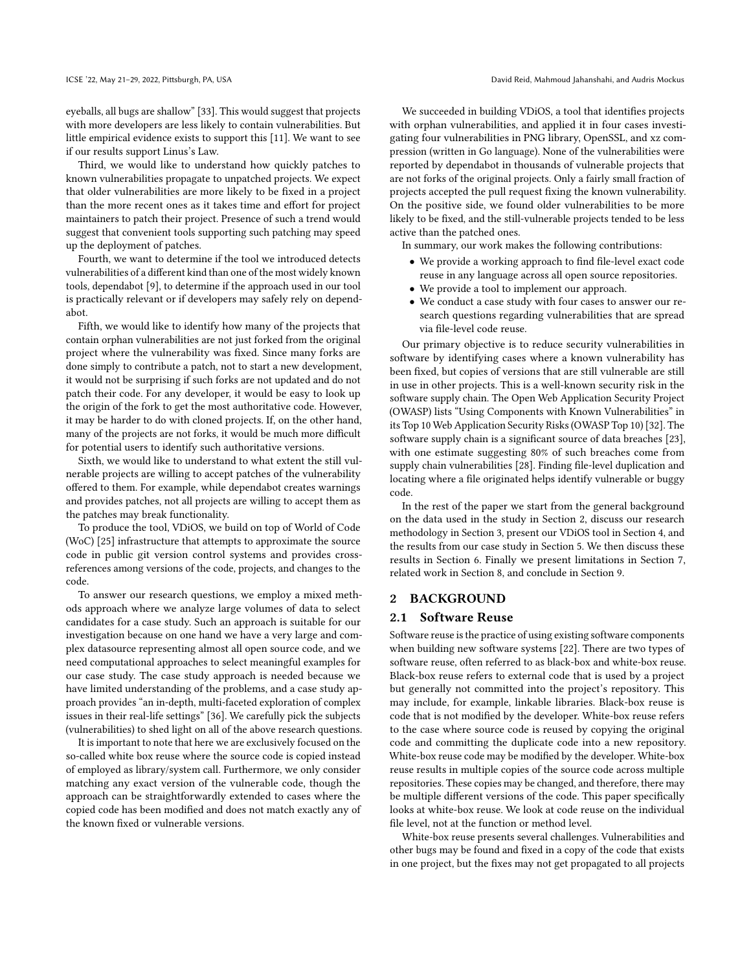eyeballs, all bugs are shallow" [\[33\]](#page-10-5). This would suggest that projects with more developers are less likely to contain vulnerabilities. But little empirical evidence exists to support this [\[11\]](#page-10-6). We want to see if our results support Linus's Law.

Third, we would like to understand how quickly patches to known vulnerabilities propagate to unpatched projects. We expect that older vulnerabilities are more likely to be fixed in a project than the more recent ones as it takes time and effort for project maintainers to patch their project. Presence of such a trend would suggest that convenient tools supporting such patching may speed up the deployment of patches.

Fourth, we want to determine if the tool we introduced detects vulnerabilities of a different kind than one of the most widely known tools, dependabot [\[9\]](#page-10-7), to determine if the approach used in our tool is practically relevant or if developers may safely rely on dependabot.

Fifth, we would like to identify how many of the projects that contain orphan vulnerabilities are not just forked from the original project where the vulnerability was fixed. Since many forks are done simply to contribute a patch, not to start a new development, it would not be surprising if such forks are not updated and do not patch their code. For any developer, it would be easy to look up the origin of the fork to get the most authoritative code. However, it may be harder to do with cloned projects. If, on the other hand, many of the projects are not forks, it would be much more difficult for potential users to identify such authoritative versions.

Sixth, we would like to understand to what extent the still vulnerable projects are willing to accept patches of the vulnerability offered to them. For example, while dependabot creates warnings and provides patches, not all projects are willing to accept them as the patches may break functionality.

To produce the tool, VDiOS, we build on top of World of Code (WoC) [\[25\]](#page-10-8) infrastructure that attempts to approximate the source code in public git version control systems and provides crossreferences among versions of the code, projects, and changes to the code.

To answer our research questions, we employ a mixed methods approach where we analyze large volumes of data to select candidates for a case study. Such an approach is suitable for our investigation because on one hand we have a very large and complex datasource representing almost all open source code, and we need computational approaches to select meaningful examples for our case study. The case study approach is needed because we have limited understanding of the problems, and a case study approach provides "an in-depth, multi-faceted exploration of complex issues in their real-life settings" [\[36\]](#page-10-9). We carefully pick the subjects (vulnerabilities) to shed light on all of the above research questions.

It is important to note that here we are exclusively focused on the so-called white box reuse where the source code is copied instead of employed as library/system call. Furthermore, we only consider matching any exact version of the vulnerable code, though the approach can be straightforwardly extended to cases where the copied code has been modified and does not match exactly any of the known fixed or vulnerable versions.

We succeeded in building VDiOS, a tool that identifies projects with orphan vulnerabilities, and applied it in four cases investigating four vulnerabilities in PNG library, OpenSSL, and xz compression (written in Go language). None of the vulnerabilities were reported by dependabot in thousands of vulnerable projects that are not forks of the original projects. Only a fairly small fraction of projects accepted the pull request fixing the known vulnerability. On the positive side, we found older vulnerabilities to be more likely to be fixed, and the still-vulnerable projects tended to be less active than the patched ones.

In summary, our work makes the following contributions:

- We provide a working approach to find file-level exact code reuse in any language across all open source repositories.
- We provide a tool to implement our approach.
- We conduct a case study with four cases to answer our research questions regarding vulnerabilities that are spread via file-level code reuse.

Our primary objective is to reduce security vulnerabilities in software by identifying cases where a known vulnerability has been fixed, but copies of versions that are still vulnerable are still in use in other projects. This is a well-known security risk in the software supply chain. The Open Web Application Security Project (OWASP) lists "Using Components with Known Vulnerabilities" in its Top 10 Web Application Security Risks (OWASP Top 10) [\[32\]](#page-10-10). The software supply chain is a significant source of data breaches [\[23\]](#page-10-11), with one estimate suggesting 80% of such breaches come from supply chain vulnerabilities [\[28\]](#page-10-12). Finding file-level duplication and locating where a file originated helps identify vulnerable or buggy code.

In the rest of the paper we start from the general background on the data used in the study in Section [2,](#page-1-0) discuss our research methodology in Section [3,](#page-2-0) present our VDiOS tool in Section [4,](#page-3-0) and the results from our case study in Section [5.](#page-4-0) We then discuss these results in Section [6.](#page-8-0) Finally we present limitations in Section [7,](#page-8-1) related work in Section [8,](#page-9-0) and conclude in Section [9.](#page-9-1)

### <span id="page-1-0"></span>2 BACKGROUND

#### 2.1 Software Reuse

Software reuse is the practice of using existing software components when building new software systems [\[22\]](#page-10-13). There are two types of software reuse, often referred to as black-box and white-box reuse. Black-box reuse refers to external code that is used by a project but generally not committed into the project's repository. This may include, for example, linkable libraries. Black-box reuse is code that is not modified by the developer. White-box reuse refers to the case where source code is reused by copying the original code and committing the duplicate code into a new repository. White-box reuse code may be modified by the developer. White-box reuse results in multiple copies of the source code across multiple repositories. These copies may be changed, and therefore, there may be multiple different versions of the code. This paper specifically looks at white-box reuse. We look at code reuse on the individual file level, not at the function or method level.

White-box reuse presents several challenges. Vulnerabilities and other bugs may be found and fixed in a copy of the code that exists in one project, but the fixes may not get propagated to all projects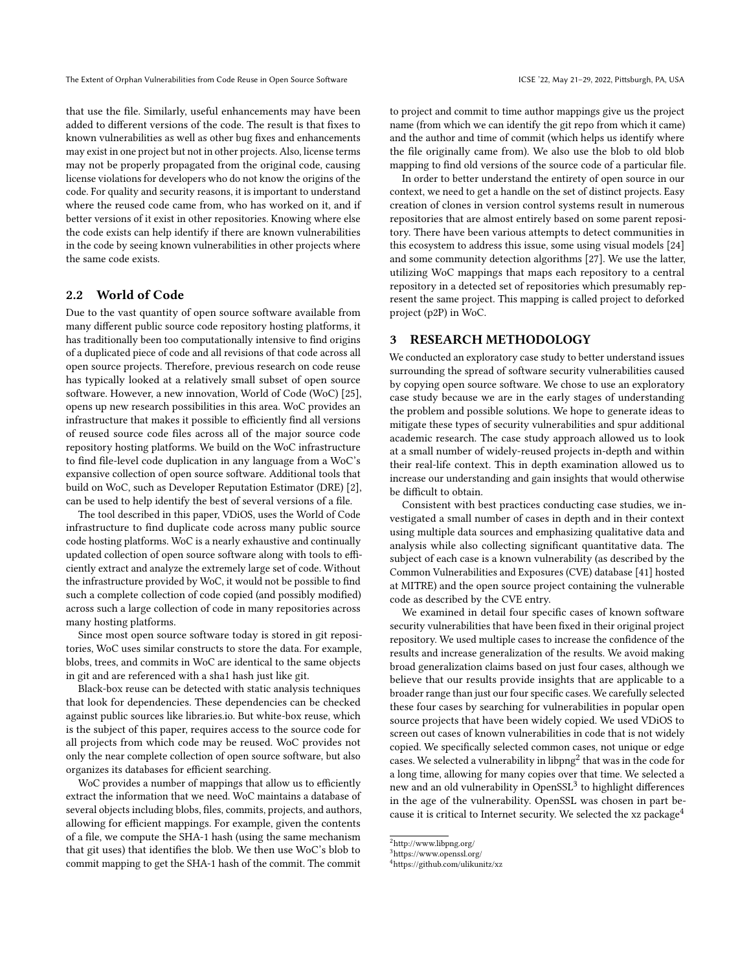that use the file. Similarly, useful enhancements may have been added to different versions of the code. The result is that fixes to known vulnerabilities as well as other bug fixes and enhancements may exist in one project but not in other projects. Also, license terms may not be properly propagated from the original code, causing license violations for developers who do not know the origins of the code. For quality and security reasons, it is important to understand where the reused code came from, who has worked on it, and if better versions of it exist in other repositories. Knowing where else the code exists can help identify if there are known vulnerabilities in the code by seeing known vulnerabilities in other projects where the same code exists.

## <span id="page-2-4"></span>2.2 World of Code

Due to the vast quantity of open source software available from many different public source code repository hosting platforms, it has traditionally been too computationally intensive to find origins of a duplicated piece of code and all revisions of that code across all open source projects. Therefore, previous research on code reuse has typically looked at a relatively small subset of open source software. However, a new innovation, World of Code (WoC) [\[25\]](#page-10-8), opens up new research possibilities in this area. WoC provides an infrastructure that makes it possible to efficiently find all versions of reused source code files across all of the major source code repository hosting platforms. We build on the WoC infrastructure to find file-level code duplication in any language from a WoC's expansive collection of open source software. Additional tools that build on WoC, such as Developer Reputation Estimator (DRE) [\[2\]](#page-10-14), can be used to help identify the best of several versions of a file.

The tool described in this paper, VDiOS, uses the World of Code infrastructure to find duplicate code across many public source code hosting platforms. WoC is a nearly exhaustive and continually updated collection of open source software along with tools to efficiently extract and analyze the extremely large set of code. Without the infrastructure provided by WoC, it would not be possible to find such a complete collection of code copied (and possibly modified) across such a large collection of code in many repositories across many hosting platforms.

Since most open source software today is stored in git repositories, WoC uses similar constructs to store the data. For example, blobs, trees, and commits in WoC are identical to the same objects in git and are referenced with a sha1 hash just like git.

Black-box reuse can be detected with static analysis techniques that look for dependencies. These dependencies can be checked against public sources like libraries.io. But white-box reuse, which is the subject of this paper, requires access to the source code for all projects from which code may be reused. WoC provides not only the near complete collection of open source software, but also organizes its databases for efficient searching.

WoC provides a number of mappings that allow us to efficiently extract the information that we need. WoC maintains a database of several objects including blobs, files, commits, projects, and authors, allowing for efficient mappings. For example, given the contents of a file, we compute the SHA-1 hash (using the same mechanism that git uses) that identifies the blob. We then use WoC's blob to commit mapping to get the SHA-1 hash of the commit. The commit

to project and commit to time author mappings give us the project name (from which we can identify the git repo from which it came) and the author and time of commit (which helps us identify where the file originally came from). We also use the blob to old blob mapping to find old versions of the source code of a particular file.

In order to better understand the entirety of open source in our context, we need to get a handle on the set of distinct projects. Easy creation of clones in version control systems result in numerous repositories that are almost entirely based on some parent repository. There have been various attempts to detect communities in this ecosystem to address this issue, some using visual models [\[24\]](#page-10-15) and some community detection algorithms [\[27\]](#page-10-16). We use the latter, utilizing WoC mappings that maps each repository to a central repository in a detected set of repositories which presumably represent the same project. This mapping is called project to deforked project (p2P) in WoC.

#### <span id="page-2-0"></span>3 RESEARCH METHODOLOGY

We conducted an exploratory case study to better understand issues surrounding the spread of software security vulnerabilities caused by copying open source software. We chose to use an exploratory case study because we are in the early stages of understanding the problem and possible solutions. We hope to generate ideas to mitigate these types of security vulnerabilities and spur additional academic research. The case study approach allowed us to look at a small number of widely-reused projects in-depth and within their real-life context. This in depth examination allowed us to increase our understanding and gain insights that would otherwise be difficult to obtain.

Consistent with best practices conducting case studies, we investigated a small number of cases in depth and in their context using multiple data sources and emphasizing qualitative data and analysis while also collecting significant quantitative data. The subject of each case is a known vulnerability (as described by the Common Vulnerabilities and Exposures (CVE) database [\[41\]](#page-10-17) hosted at MITRE) and the open source project containing the vulnerable code as described by the CVE entry.

We examined in detail four specific cases of known software security vulnerabilities that have been fixed in their original project repository. We used multiple cases to increase the confidence of the results and increase generalization of the results. We avoid making broad generalization claims based on just four cases, although we believe that our results provide insights that are applicable to a broader range than just our four specific cases. We carefully selected these four cases by searching for vulnerabilities in popular open source projects that have been widely copied. We used VDiOS to screen out cases of known vulnerabilities in code that is not widely copied. We specifically selected common cases, not unique or edge cases. We selected a vulnerability in libpng<sup>[2](#page-2-1)</sup> that was in the code for a long time, allowing for many copies over that time. We selected a new and an old vulnerability in Open $\text{SSL}^3$  $\text{SSL}^3$  to highlight differences in the age of the vulnerability. OpenSSL was chosen in part be-cause it is critical to Internet security. We selected the xz package<sup>[4](#page-2-3)</sup>

<span id="page-2-1"></span> $^2$ http://www.libpng.org/  $\,$ 

<span id="page-2-2"></span><sup>3</sup>https://www.openssl.org/

<span id="page-2-3"></span><sup>4</sup>https://github.com/ulikunitz/xz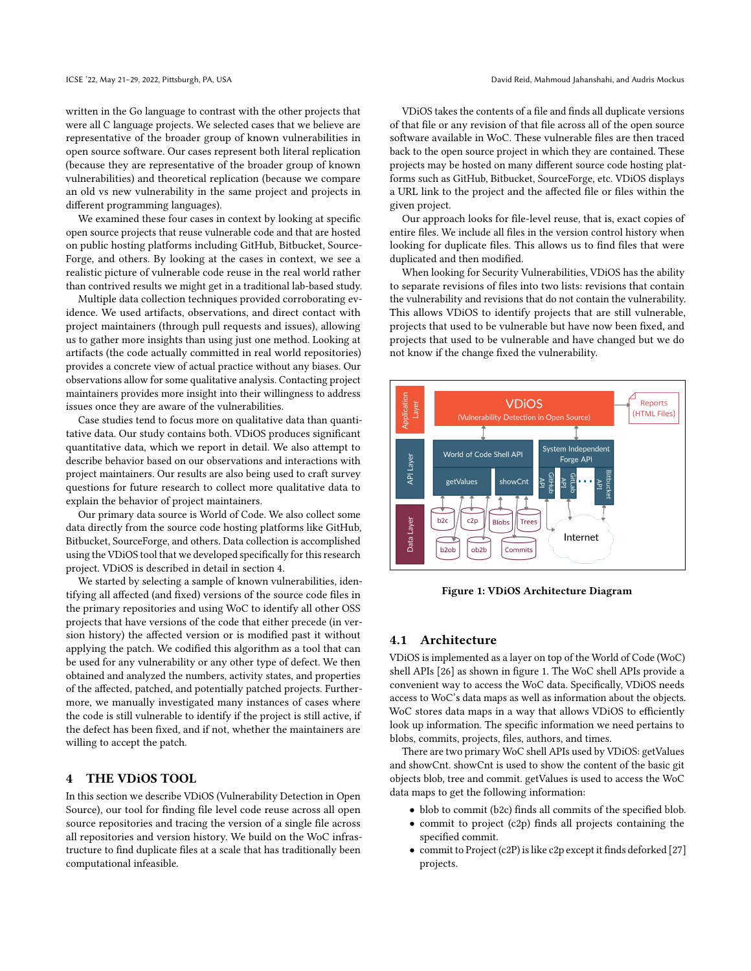written in the Go language to contrast with the other projects that were all C language projects. We selected cases that we believe are representative of the broader group of known vulnerabilities in open source software. Our cases represent both literal replication (because they are representative of the broader group of known vulnerabilities) and theoretical replication (because we compare an old vs new vulnerability in the same project and projects in different programming languages).

We examined these four cases in context by looking at specific open source projects that reuse vulnerable code and that are hosted on public hosting platforms including GitHub, Bitbucket, Source-Forge, and others. By looking at the cases in context, we see a realistic picture of vulnerable code reuse in the real world rather than contrived results we might get in a traditional lab-based study.

Multiple data collection techniques provided corroborating evidence. We used artifacts, observations, and direct contact with project maintainers (through pull requests and issues), allowing us to gather more insights than using just one method. Looking at artifacts (the code actually committed in real world repositories) provides a concrete view of actual practice without any biases. Our observations allow for some qualitative analysis. Contacting project maintainers provides more insight into their willingness to address issues once they are aware of the vulnerabilities.

Case studies tend to focus more on qualitative data than quantitative data. Our study contains both. VDiOS produces significant quantitative data, which we report in detail. We also attempt to describe behavior based on our observations and interactions with project maintainers. Our results are also being used to craft survey questions for future research to collect more qualitative data to explain the behavior of project maintainers.

Our primary data source is World of Code. We also collect some data directly from the source code hosting platforms like GitHub, Bitbucket, SourceForge, and others. Data collection is accomplished using the VDiOS tool that we developed specifically for this research project. VDiOS is described in detail in section [4.](#page-3-0)

We started by selecting a sample of known vulnerabilities, identifying all affected (and fixed) versions of the source code files in the primary repositories and using WoC to identify all other OSS projects that have versions of the code that either precede (in version history) the affected version or is modified past it without applying the patch. We codified this algorithm as a tool that can be used for any vulnerability or any other type of defect. We then obtained and analyzed the numbers, activity states, and properties of the affected, patched, and potentially patched projects. Furthermore, we manually investigated many instances of cases where the code is still vulnerable to identify if the project is still active, if the defect has been fixed, and if not, whether the maintainers are willing to accept the patch.

#### <span id="page-3-0"></span>4 THE VDiOS TOOL

In this section we describe VDiOS (Vulnerability Detection in Open Source), our tool for finding file level code reuse across all open source repositories and tracing the version of a single file across all repositories and version history. We build on the WoC infrastructure to find duplicate files at a scale that has traditionally been computational infeasible.

VDiOS takes the contents of a file and finds all duplicate versions of that file or any revision of that file across all of the open source software available in WoC. These vulnerable files are then traced back to the open source project in which they are contained. These projects may be hosted on many different source code hosting platforms such as GitHub, Bitbucket, SourceForge, etc. VDiOS displays a URL link to the project and the affected file or files within the given project.

Our approach looks for file-level reuse, that is, exact copies of entire files. We include all files in the version control history when looking for duplicate files. This allows us to find files that were duplicated and then modified.

When looking for Security Vulnerabilities, VDiOS has the ability to separate revisions of files into two lists: revisions that contain the vulnerability and revisions that do not contain the vulnerability. This allows VDiOS to identify projects that are still vulnerable, projects that used to be vulnerable but have now been fixed, and projects that used to be vulnerable and have changed but we do not know if the change fixed the vulnerability.

<span id="page-3-1"></span>

Figure 1: VDiOS Architecture Diagram

#### 4.1 Architecture

VDiOS is implemented as a layer on top of the World of Code (WoC) shell APIs [\[26\]](#page-10-18) as shown in figure [1.](#page-3-1) The WoC shell APIs provide a convenient way to access the WoC data. Specifically, VDiOS needs access to WoC's data maps as well as information about the objects. WoC stores data maps in a way that allows VDiOS to efficiently look up information. The specific information we need pertains to blobs, commits, projects, files, authors, and times.

There are two primary WoC shell APIs used by VDiOS: getValues and showCnt. showCnt is used to show the content of the basic git objects blob, tree and commit. getValues is used to access the WoC data maps to get the following information:

- blob to commit (b2c) finds all commits of the specified blob.
- commit to project (c2p) finds all projects containing the specified commit.
- commit to Project (c2P) is like c2p except it finds deforked [\[27\]](#page-10-16) projects.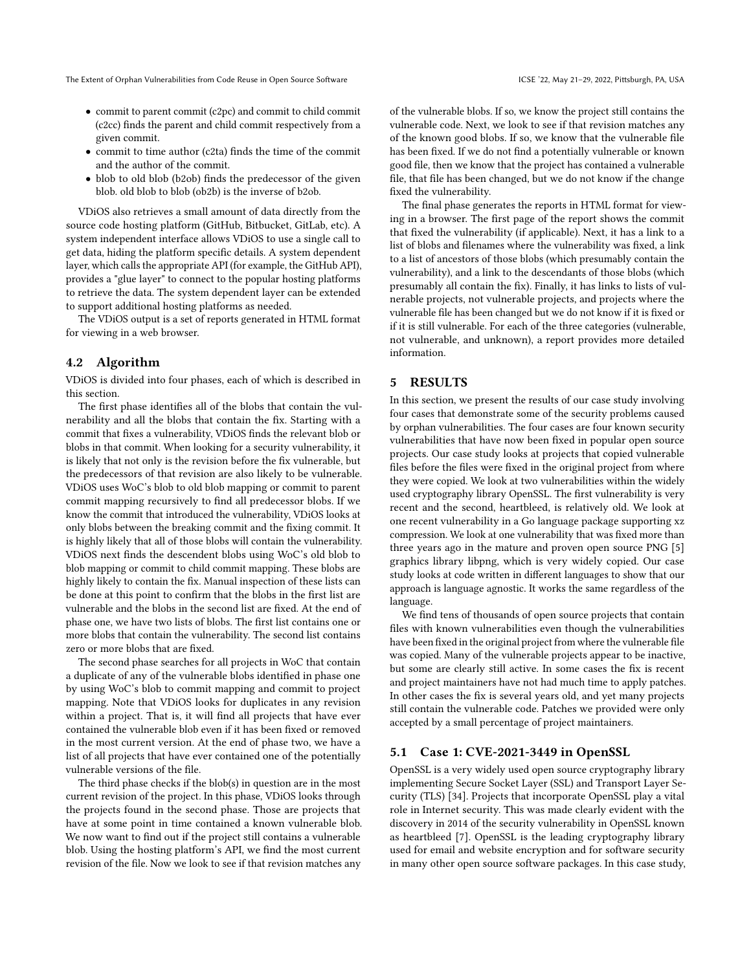- commit to parent commit (c2pc) and commit to child commit (c2cc) finds the parent and child commit respectively from a given commit.
- commit to time author (c2ta) finds the time of the commit and the author of the commit.
- blob to old blob (b2ob) finds the predecessor of the given blob. old blob to blob (ob2b) is the inverse of b2ob.

VDiOS also retrieves a small amount of data directly from the source code hosting platform (GitHub, Bitbucket, GitLab, etc). A system independent interface allows VDiOS to use a single call to get data, hiding the platform specific details. A system dependent layer, which calls the appropriate API (for example, the GitHub API), provides a "glue layer" to connect to the popular hosting platforms to retrieve the data. The system dependent layer can be extended to support additional hosting platforms as needed.

The VDiOS output is a set of reports generated in HTML format for viewing in a web browser.

## <span id="page-4-1"></span>4.2 Algorithm

VDiOS is divided into four phases, each of which is described in this section.

The first phase identifies all of the blobs that contain the vulnerability and all the blobs that contain the fix. Starting with a commit that fixes a vulnerability, VDiOS finds the relevant blob or blobs in that commit. When looking for a security vulnerability, it is likely that not only is the revision before the fix vulnerable, but the predecessors of that revision are also likely to be vulnerable. VDiOS uses WoC's blob to old blob mapping or commit to parent commit mapping recursively to find all predecessor blobs. If we know the commit that introduced the vulnerability, VDiOS looks at only blobs between the breaking commit and the fixing commit. It is highly likely that all of those blobs will contain the vulnerability. VDiOS next finds the descendent blobs using WoC's old blob to blob mapping or commit to child commit mapping. These blobs are highly likely to contain the fix. Manual inspection of these lists can be done at this point to confirm that the blobs in the first list are vulnerable and the blobs in the second list are fixed. At the end of phase one, we have two lists of blobs. The first list contains one or more blobs that contain the vulnerability. The second list contains zero or more blobs that are fixed.

The second phase searches for all projects in WoC that contain a duplicate of any of the vulnerable blobs identified in phase one by using WoC's blob to commit mapping and commit to project mapping. Note that VDiOS looks for duplicates in any revision within a project. That is, it will find all projects that have ever contained the vulnerable blob even if it has been fixed or removed in the most current version. At the end of phase two, we have a list of all projects that have ever contained one of the potentially vulnerable versions of the file.

The third phase checks if the blob(s) in question are in the most current revision of the project. In this phase, VDiOS looks through the projects found in the second phase. Those are projects that have at some point in time contained a known vulnerable blob. We now want to find out if the project still contains a vulnerable blob. Using the hosting platform's API, we find the most current revision of the file. Now we look to see if that revision matches any

of the vulnerable blobs. If so, we know the project still contains the vulnerable code. Next, we look to see if that revision matches any of the known good blobs. If so, we know that the vulnerable file has been fixed. If we do not find a potentially vulnerable or known good file, then we know that the project has contained a vulnerable file, that file has been changed, but we do not know if the change fixed the vulnerability.

The final phase generates the reports in HTML format for viewing in a browser. The first page of the report shows the commit that fixed the vulnerability (if applicable). Next, it has a link to a list of blobs and filenames where the vulnerability was fixed, a link to a list of ancestors of those blobs (which presumably contain the vulnerability), and a link to the descendants of those blobs (which presumably all contain the fix). Finally, it has links to lists of vulnerable projects, not vulnerable projects, and projects where the vulnerable file has been changed but we do not know if it is fixed or if it is still vulnerable. For each of the three categories (vulnerable, not vulnerable, and unknown), a report provides more detailed information.

## <span id="page-4-0"></span>5 RESULTS

In this section, we present the results of our case study involving four cases that demonstrate some of the security problems caused by orphan vulnerabilities. The four cases are four known security vulnerabilities that have now been fixed in popular open source projects. Our case study looks at projects that copied vulnerable files before the files were fixed in the original project from where they were copied. We look at two vulnerabilities within the widely used cryptography library OpenSSL. The first vulnerability is very recent and the second, heartbleed, is relatively old. We look at one recent vulnerability in a Go language package supporting xz compression. We look at one vulnerability that was fixed more than three years ago in the mature and proven open source PNG [\[5\]](#page-10-19) graphics library libpng, which is very widely copied. Our case study looks at code written in different languages to show that our approach is language agnostic. It works the same regardless of the language.

We find tens of thousands of open source projects that contain files with known vulnerabilities even though the vulnerabilities have been fixed in the original project from where the vulnerable file was copied. Many of the vulnerable projects appear to be inactive, but some are clearly still active. In some cases the fix is recent and project maintainers have not had much time to apply patches. In other cases the fix is several years old, and yet many projects still contain the vulnerable code. Patches we provided were only accepted by a small percentage of project maintainers.

#### 5.1 Case 1: CVE-2021-3449 in OpenSSL

OpenSSL is a very widely used open source cryptography library implementing Secure Socket Layer (SSL) and Transport Layer Security (TLS) [\[34\]](#page-10-20). Projects that incorporate OpenSSL play a vital role in Internet security. This was made clearly evident with the discovery in 2014 of the security vulnerability in OpenSSL known as heartbleed [\[7\]](#page-10-21). OpenSSL is the leading cryptography library used for email and website encryption and for software security in many other open source software packages. In this case study,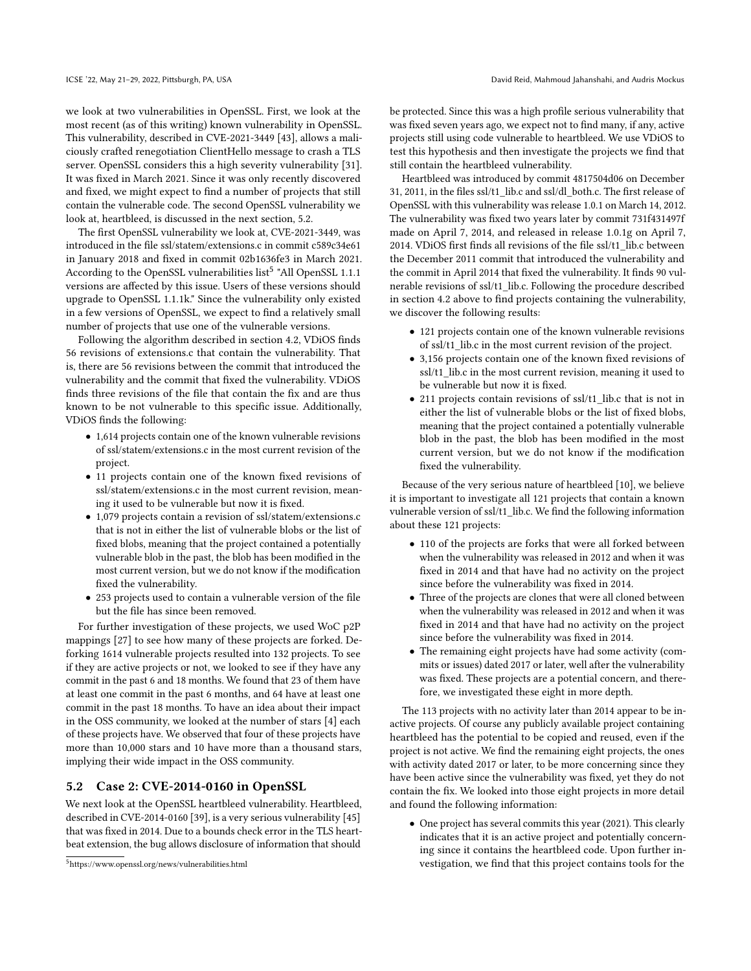we look at two vulnerabilities in OpenSSL. First, we look at the most recent (as of this writing) known vulnerability in OpenSSL. This vulnerability, described in CVE-2021-3449 [\[43\]](#page-10-22), allows a maliciously crafted renegotiation ClientHello message to crash a TLS server. OpenSSL considers this a high severity vulnerability [\[31\]](#page-10-23). It was fixed in March 2021. Since it was only recently discovered and fixed, we might expect to find a number of projects that still contain the vulnerable code. The second OpenSSL vulnerability we look at, heartbleed, is discussed in the next section, [5.2.](#page-5-0)

The first OpenSSL vulnerability we look at, CVE-2021-3449, was introduced in the file ssl/statem/extensions.c in commit c589c34e61 in January 2018 and fixed in commit 02b1636fe3 in March 2021. According to the OpenSSL vulnerabilities list<sup>[5](#page-5-1)</sup> "All OpenSSL 1.1.1 versions are affected by this issue. Users of these versions should upgrade to OpenSSL 1.1.1k." Since the vulnerability only existed in a few versions of OpenSSL, we expect to find a relatively small number of projects that use one of the vulnerable versions.

Following the algorithm described in section [4.2,](#page-4-1) VDiOS finds 56 revisions of extensions.c that contain the vulnerability. That is, there are 56 revisions between the commit that introduced the vulnerability and the commit that fixed the vulnerability. VDiOS finds three revisions of the file that contain the fix and are thus known to be not vulnerable to this specific issue. Additionally, VDiOS finds the following:

- 1,614 projects contain one of the known vulnerable revisions of ssl/statem/extensions.c in the most current revision of the project.
- 11 projects contain one of the known fixed revisions of ssl/statem/extensions.c in the most current revision, meaning it used to be vulnerable but now it is fixed.
- 1,079 projects contain a revision of ssl/statem/extensions.c that is not in either the list of vulnerable blobs or the list of fixed blobs, meaning that the project contained a potentially vulnerable blob in the past, the blob has been modified in the most current version, but we do not know if the modification fixed the vulnerability.
- 253 projects used to contain a vulnerable version of the file but the file has since been removed.

For further investigation of these projects, we used WoC p2P mappings [\[27\]](#page-10-16) to see how many of these projects are forked. Deforking 1614 vulnerable projects resulted into 132 projects. To see if they are active projects or not, we looked to see if they have any commit in the past 6 and 18 months. We found that 23 of them have at least one commit in the past 6 months, and 64 have at least one commit in the past 18 months. To have an idea about their impact in the OSS community, we looked at the number of stars [\[4\]](#page-10-24) each of these projects have. We observed that four of these projects have more than 10,000 stars and 10 have more than a thousand stars, implying their wide impact in the OSS community.

#### <span id="page-5-0"></span>5.2 Case 2: CVE-2014-0160 in OpenSSL

We next look at the OpenSSL heartbleed vulnerability. Heartbleed, described in CVE-2014-0160 [\[39\]](#page-10-25), is a very serious vulnerability [\[45\]](#page-10-26) that was fixed in 2014. Due to a bounds check error in the TLS heartbeat extension, the bug allows disclosure of information that should

be protected. Since this was a high profile serious vulnerability that was fixed seven years ago, we expect not to find many, if any, active projects still using code vulnerable to heartbleed. We use VDiOS to test this hypothesis and then investigate the projects we find that still contain the heartbleed vulnerability.

Heartbleed was introduced by commit 4817504d06 on December 31, 2011, in the files ssl/t1\_lib.c and ssl/dl\_both.c. The first release of OpenSSL with this vulnerability was release 1.0.1 on March 14, 2012. The vulnerability was fixed two years later by commit 731f431497f made on April 7, 2014, and released in release 1.0.1g on April 7, 2014. VDiOS first finds all revisions of the file ssl/t1\_lib.c between the December 2011 commit that introduced the vulnerability and the commit in April 2014 that fixed the vulnerability. It finds 90 vulnerable revisions of ssl/t1\_lib.c. Following the procedure described in section [4.2](#page-4-1) above to find projects containing the vulnerability, we discover the following results:

- 121 projects contain one of the known vulnerable revisions of ssl/t1\_lib.c in the most current revision of the project.
- 3,156 projects contain one of the known fixed revisions of ssl/t1\_lib.c in the most current revision, meaning it used to be vulnerable but now it is fixed.
- 211 projects contain revisions of ssl/t1\_lib.c that is not in either the list of vulnerable blobs or the list of fixed blobs, meaning that the project contained a potentially vulnerable blob in the past, the blob has been modified in the most current version, but we do not know if the modification fixed the vulnerability.

Because of the very serious nature of heartbleed [\[10\]](#page-10-27), we believe it is important to investigate all 121 projects that contain a known vulnerable version of ssl/t1\_lib.c. We find the following information about these 121 projects:

- 110 of the projects are forks that were all forked between when the vulnerability was released in 2012 and when it was fixed in 2014 and that have had no activity on the project since before the vulnerability was fixed in 2014.
- Three of the projects are clones that were all cloned between when the vulnerability was released in 2012 and when it was fixed in 2014 and that have had no activity on the project since before the vulnerability was fixed in 2014.
- The remaining eight projects have had some activity (commits or issues) dated 2017 or later, well after the vulnerability was fixed. These projects are a potential concern, and therefore, we investigated these eight in more depth.

The 113 projects with no activity later than 2014 appear to be inactive projects. Of course any publicly available project containing heartbleed has the potential to be copied and reused, even if the project is not active. We find the remaining eight projects, the ones with activity dated 2017 or later, to be more concerning since they have been active since the vulnerability was fixed, yet they do not contain the fix. We looked into those eight projects in more detail and found the following information:

• One project has several commits this year (2021). This clearly indicates that it is an active project and potentially concerning since it contains the heartbleed code. Upon further investigation, we find that this project contains tools for the

<span id="page-5-1"></span><sup>5</sup>https://www.openssl.org/news/vulnerabilities.html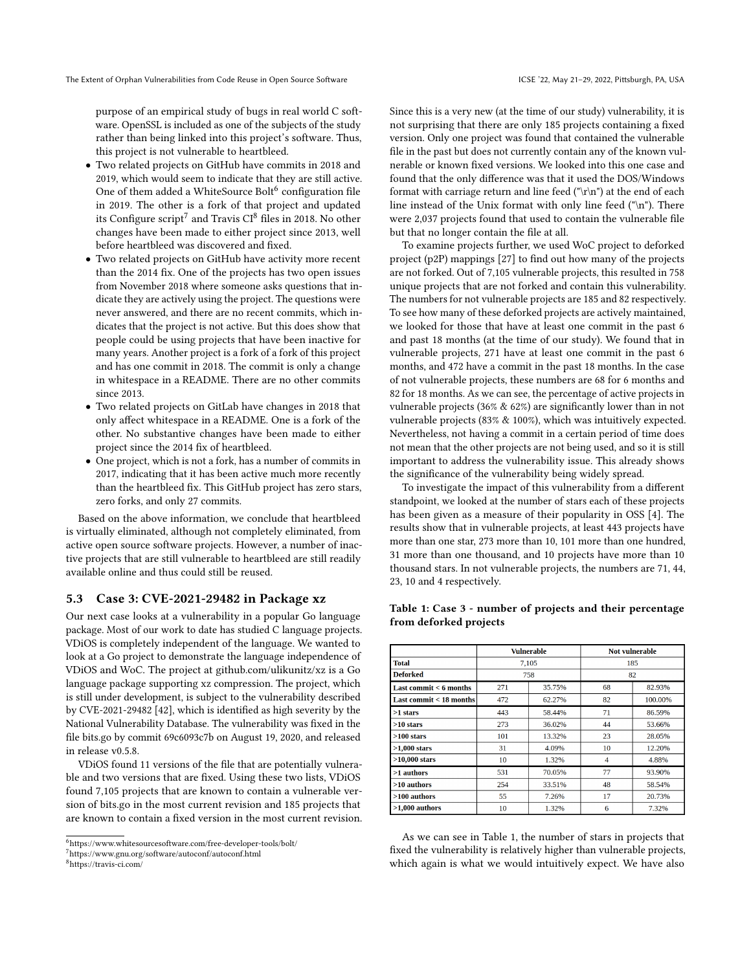purpose of an empirical study of bugs in real world C software. OpenSSL is included as one of the subjects of the study rather than being linked into this project's software. Thus, this project is not vulnerable to heartbleed.

- Two related projects on GitHub have commits in 2018 and 2019, which would seem to indicate that they are still active. One of them added a WhiteSource Bolt $^6$  $^6$  configuration file in 2019. The other is a fork of that project and updated its Configure script $^7$  $^7$  and Travis CI $^8$  $^8$  files in 2018. No other changes have been made to either project since 2013, well before heartbleed was discovered and fixed.
- Two related projects on GitHub have activity more recent than the 2014 fix. One of the projects has two open issues from November 2018 where someone asks questions that indicate they are actively using the project. The questions were never answered, and there are no recent commits, which indicates that the project is not active. But this does show that people could be using projects that have been inactive for many years. Another project is a fork of a fork of this project and has one commit in 2018. The commit is only a change in whitespace in a README. There are no other commits since 2013.
- Two related projects on GitLab have changes in 2018 that only affect whitespace in a README. One is a fork of the other. No substantive changes have been made to either project since the 2014 fix of heartbleed.
- One project, which is not a fork, has a number of commits in 2017, indicating that it has been active much more recently than the heartbleed fix. This GitHub project has zero stars, zero forks, and only 27 commits.

Based on the above information, we conclude that heartbleed is virtually eliminated, although not completely eliminated, from active open source software projects. However, a number of inactive projects that are still vulnerable to heartbleed are still readily available online and thus could still be reused.

## 5.3 Case 3: CVE-2021-29482 in Package xz

Our next case looks at a vulnerability in a popular Go language package. Most of our work to date has studied C language projects. VDiOS is completely independent of the language. We wanted to look at a Go project to demonstrate the language independence of VDiOS and WoC. The project at github.com/ulikunitz/xz is a Go language package supporting xz compression. The project, which is still under development, is subject to the vulnerability described by CVE-2021-29482 [\[42\]](#page-10-28), which is identified as high severity by the National Vulnerability Database. The vulnerability was fixed in the file bits.go by commit 69c6093c7b on August 19, 2020, and released in release v0.5.8.

VDiOS found 11 versions of the file that are potentially vulnerable and two versions that are fixed. Using these two lists, VDiOS found 7,105 projects that are known to contain a vulnerable version of bits.go in the most current revision and 185 projects that are known to contain a fixed version in the most current revision.

Since this is a very new (at the time of our study) vulnerability, it is not surprising that there are only 185 projects containing a fixed version. Only one project was found that contained the vulnerable file in the past but does not currently contain any of the known vulnerable or known fixed versions. We looked into this one case and found that the only difference was that it used the DOS/Windows format with carriage return and line feed (" $\rm\ln$ ") at the end of each line instead of the Unix format with only line feed ("\n"). There were 2,037 projects found that used to contain the vulnerable file but that no longer contain the file at all.

To examine projects further, we used WoC project to deforked project (p2P) mappings [\[27\]](#page-10-16) to find out how many of the projects are not forked. Out of 7,105 vulnerable projects, this resulted in 758 unique projects that are not forked and contain this vulnerability. The numbers for not vulnerable projects are 185 and 82 respectively. To see how many of these deforked projects are actively maintained, we looked for those that have at least one commit in the past 6 and past 18 months (at the time of our study). We found that in vulnerable projects, 271 have at least one commit in the past 6 months, and 472 have a commit in the past 18 months. In the case of not vulnerable projects, these numbers are 68 for 6 months and 82 for 18 months. As we can see, the percentage of active projects in vulnerable projects (36% & 62%) are significantly lower than in not vulnerable projects (83% & 100%), which was intuitively expected. Nevertheless, not having a commit in a certain period of time does not mean that the other projects are not being used, and so it is still important to address the vulnerability issue. This already shows the significance of the vulnerability being widely spread.

To investigate the impact of this vulnerability from a different standpoint, we looked at the number of stars each of these projects has been given as a measure of their popularity in OSS [\[4\]](#page-10-24). The results show that in vulnerable projects, at least 443 projects have more than one star, 273 more than 10, 101 more than one hundred, 31 more than one thousand, and 10 projects have more than 10 thousand stars. In not vulnerable projects, the numbers are 71, 44, 23, 10 and 4 respectively.

|                             | <b>Vulnerable</b> |        | Not vulnerable |         |
|-----------------------------|-------------------|--------|----------------|---------|
| <b>Total</b>                | 7,105             |        | 185            |         |
| <b>Deforked</b>             | 758               |        | 82             |         |
| Last commit $\leq 6$ months | 271               | 35.75% | 68             | 82.93%  |
| Last commit $<$ 18 months   | 472               | 62.27% | 82             | 100.00% |
| $>1$ stars                  | 443               | 58.44% | 71             | 86.59%  |
| $>10$ stars                 | 273               | 36.02% | 44             | 53.66%  |
| $>100$ stars                | 101               | 13.32% | 23             | 28.05%  |
| $>1,000$ stars              | 31                | 4.09%  | 10             | 12.20%  |
| $>10,000$ stars             | 10                | 1.32%  | $\overline{4}$ | 4.88%   |
| >1 authors                  | 531               | 70.05% | 77             | 93.90%  |
| >10 authors                 | 254               | 33.51% | 48             | 58.54%  |
| $>100$ authors              | 55                | 7.26%  | 17             | 20.73%  |
| $>1,000$ authors            | 10                | 1.32%  | 6              | 7.32%   |

<span id="page-6-3"></span>Table 1: Case 3 - number of projects and their percentage from deforked projects

As we can see in Table [1,](#page-6-3) the number of stars in projects that fixed the vulnerability is relatively higher than vulnerable projects, which again is what we would intuitively expect. We have also

<span id="page-6-0"></span> $6$ https://www.whitesourcesoftware.com/free-developer-tools/bolt/

<span id="page-6-1"></span><sup>7</sup>https://www.gnu.org/software/autoconf/autoconf.html

<span id="page-6-2"></span><sup>8</sup>https://travis-ci.com/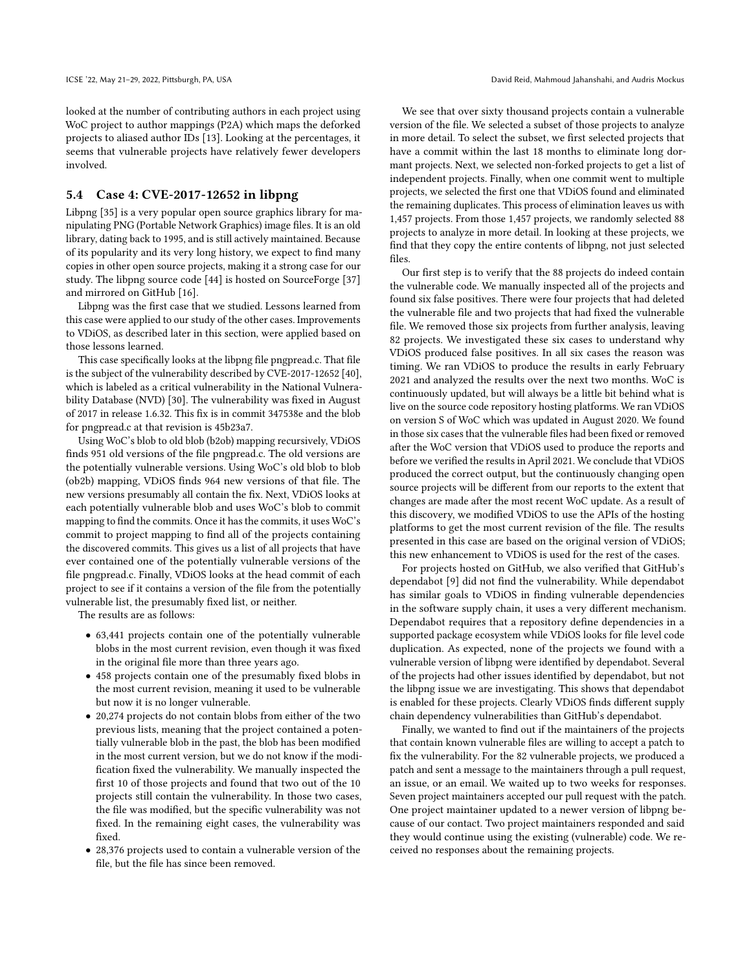looked at the number of contributing authors in each project using WoC project to author mappings (P2A) which maps the deforked projects to aliased author IDs [\[13\]](#page-10-29). Looking at the percentages, it seems that vulnerable projects have relatively fewer developers involved.

## 5.4 Case 4: CVE-2017-12652 in libpng

Libpng [\[35\]](#page-10-30) is a very popular open source graphics library for manipulating PNG (Portable Network Graphics) image files. It is an old library, dating back to 1995, and is still actively maintained. Because of its popularity and its very long history, we expect to find many copies in other open source projects, making it a strong case for our study. The libpng source code [\[44\]](#page-10-31) is hosted on SourceForge [\[37\]](#page-10-32) and mirrored on GitHub [\[16\]](#page-10-33).

Libpng was the first case that we studied. Lessons learned from this case were applied to our study of the other cases. Improvements to VDiOS, as described later in this section, were applied based on those lessons learned.

This case specifically looks at the libpng file pngpread.c. That file is the subject of the vulnerability described by CVE-2017-12652 [\[40\]](#page-10-34), which is labeled as a critical vulnerability in the National Vulnerability Database (NVD) [\[30\]](#page-10-35). The vulnerability was fixed in August of 2017 in release 1.6.32. This fix is in commit 347538e and the blob for pngpread.c at that revision is 45b23a7.

Using WoC's blob to old blob (b2ob) mapping recursively, VDiOS finds 951 old versions of the file pngpread.c. The old versions are the potentially vulnerable versions. Using WoC's old blob to blob (ob2b) mapping, VDiOS finds 964 new versions of that file. The new versions presumably all contain the fix. Next, VDiOS looks at each potentially vulnerable blob and uses WoC's blob to commit mapping to find the commits. Once it has the commits, it uses WoC's commit to project mapping to find all of the projects containing the discovered commits. This gives us a list of all projects that have ever contained one of the potentially vulnerable versions of the file pngpread.c. Finally, VDiOS looks at the head commit of each project to see if it contains a version of the file from the potentially vulnerable list, the presumably fixed list, or neither.

The results are as follows:

- 63,441 projects contain one of the potentially vulnerable blobs in the most current revision, even though it was fixed in the original file more than three years ago.
- 458 projects contain one of the presumably fixed blobs in the most current revision, meaning it used to be vulnerable but now it is no longer vulnerable.
- 20,274 projects do not contain blobs from either of the two previous lists, meaning that the project contained a potentially vulnerable blob in the past, the blob has been modified in the most current version, but we do not know if the modification fixed the vulnerability. We manually inspected the first 10 of those projects and found that two out of the 10 projects still contain the vulnerability. In those two cases, the file was modified, but the specific vulnerability was not fixed. In the remaining eight cases, the vulnerability was fixed.
- 28,376 projects used to contain a vulnerable version of the file, but the file has since been removed.

We see that over sixty thousand projects contain a vulnerable version of the file. We selected a subset of those projects to analyze in more detail. To select the subset, we first selected projects that have a commit within the last 18 months to eliminate long dormant projects. Next, we selected non-forked projects to get a list of independent projects. Finally, when one commit went to multiple projects, we selected the first one that VDiOS found and eliminated the remaining duplicates. This process of elimination leaves us with 1,457 projects. From those 1,457 projects, we randomly selected 88 projects to analyze in more detail. In looking at these projects, we find that they copy the entire contents of libpng, not just selected files.

Our first step is to verify that the 88 projects do indeed contain the vulnerable code. We manually inspected all of the projects and found six false positives. There were four projects that had deleted the vulnerable file and two projects that had fixed the vulnerable file. We removed those six projects from further analysis, leaving 82 projects. We investigated these six cases to understand why VDiOS produced false positives. In all six cases the reason was timing. We ran VDiOS to produce the results in early February 2021 and analyzed the results over the next two months. WoC is continuously updated, but will always be a little bit behind what is live on the source code repository hosting platforms. We ran VDiOS on version S of WoC which was updated in August 2020. We found in those six cases that the vulnerable files had been fixed or removed after the WoC version that VDiOS used to produce the reports and before we verified the results in April 2021. We conclude that VDiOS produced the correct output, but the continuously changing open source projects will be different from our reports to the extent that changes are made after the most recent WoC update. As a result of this discovery, we modified VDiOS to use the APIs of the hosting platforms to get the most current revision of the file. The results presented in this case are based on the original version of VDiOS; this new enhancement to VDiOS is used for the rest of the cases.

For projects hosted on GitHub, we also verified that GitHub's dependabot [\[9\]](#page-10-7) did not find the vulnerability. While dependabot has similar goals to VDiOS in finding vulnerable dependencies in the software supply chain, it uses a very different mechanism. Dependabot requires that a repository define dependencies in a supported package ecosystem while VDiOS looks for file level code duplication. As expected, none of the projects we found with a vulnerable version of libpng were identified by dependabot. Several of the projects had other issues identified by dependabot, but not the libpng issue we are investigating. This shows that dependabot is enabled for these projects. Clearly VDiOS finds different supply chain dependency vulnerabilities than GitHub's dependabot.

Finally, we wanted to find out if the maintainers of the projects that contain known vulnerable files are willing to accept a patch to fix the vulnerability. For the 82 vulnerable projects, we produced a patch and sent a message to the maintainers through a pull request, an issue, or an email. We waited up to two weeks for responses. Seven project maintainers accepted our pull request with the patch. One project maintainer updated to a newer version of libpng because of our contact. Two project maintainers responded and said they would continue using the existing (vulnerable) code. We received no responses about the remaining projects.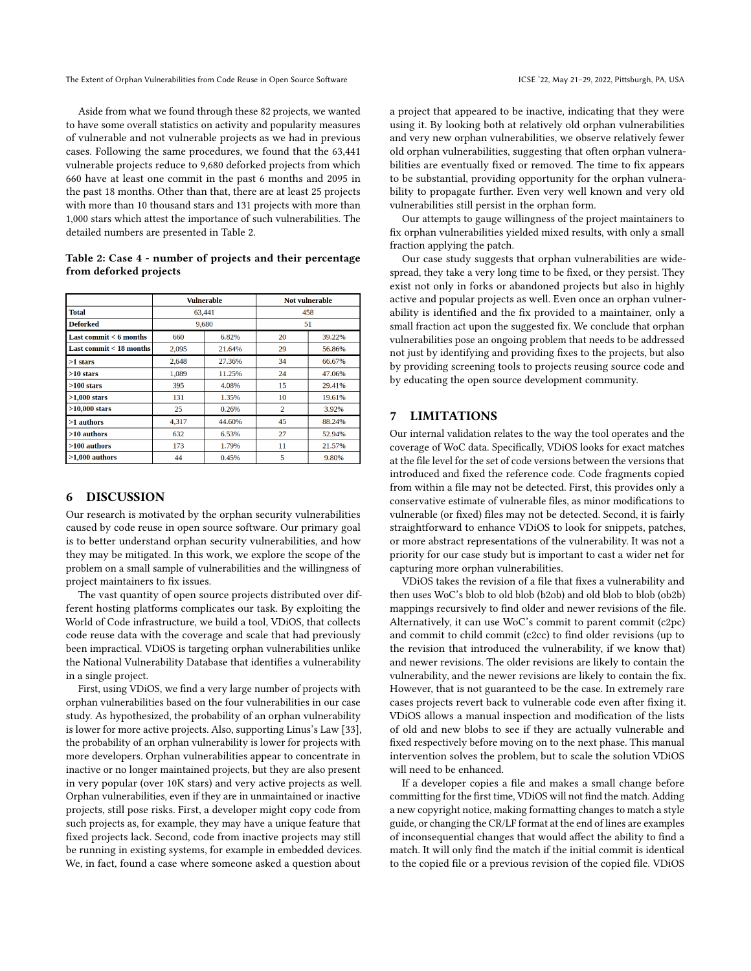The Extent of Orphan Vulnerabilities from Code Reuse in Open Source Software ICSE '22, May 21-29, 2022, Pittsburgh, PA, USA

Aside from what we found through these 82 projects, we wanted to have some overall statistics on activity and popularity measures of vulnerable and not vulnerable projects as we had in previous cases. Following the same procedures, we found that the 63,441 vulnerable projects reduce to 9,680 deforked projects from which 660 have at least one commit in the past 6 months and 2095 in the past 18 months. Other than that, there are at least 25 projects with more than 10 thousand stars and 131 projects with more than 1,000 stars which attest the importance of such vulnerabilities. The detailed numbers are presented in Table [2.](#page-8-2)

<span id="page-8-2"></span>Table 2: Case 4 - number of projects and their percentage from deforked projects

|                          | <b>Vulnerable</b> |        | <b>Not vulnerable</b> |        |
|--------------------------|-------------------|--------|-----------------------|--------|
| <b>Total</b>             | 63,441            |        | 458                   |        |
| Deforked                 | 9,680             |        | 51                    |        |
| Last commit $<$ 6 months | 660               | 6.82%  | 20                    | 39.22% |
| Last commit < 18 months  | 2,095             | 21.64% | 29                    | 56.86% |
| $>1$ stars               | 2.648             | 27.36% | 34                    | 66.67% |
| $>10$ stars              | 1.089             | 11.25% | 24                    | 47.06% |
| $>100$ stars             | 395               | 4.08%  | 15                    | 29.41% |
| $>1,000$ stars           | 131               | 1.35%  | 10                    | 19.61% |
| $>10,000$ stars          | 25                | 0.26%  | $\overline{2}$        | 3.92%  |
| >1 authors               | 4.317             | 44.60% | 45                    | 88.24% |
| $>10$ authors            | 632               | 6.53%  | 27                    | 52.94% |
| $>100$ authors           | 173               | 1.79%  | 11                    | 21.57% |
| $>1.000$ authors         | 44                | 0.45%  | 5                     | 9.80%  |

## <span id="page-8-0"></span>6 DISCUSSION

Our research is motivated by the orphan security vulnerabilities caused by code reuse in open source software. Our primary goal is to better understand orphan security vulnerabilities, and how they may be mitigated. In this work, we explore the scope of the problem on a small sample of vulnerabilities and the willingness of project maintainers to fix issues.

The vast quantity of open source projects distributed over different hosting platforms complicates our task. By exploiting the World of Code infrastructure, we build a tool, VDiOS, that collects code reuse data with the coverage and scale that had previously been impractical. VDiOS is targeting orphan vulnerabilities unlike the National Vulnerability Database that identifies a vulnerability in a single project.

First, using VDiOS, we find a very large number of projects with orphan vulnerabilities based on the four vulnerabilities in our case study. As hypothesized, the probability of an orphan vulnerability is lower for more active projects. Also, supporting Linus's Law [\[33\]](#page-10-5), the probability of an orphan vulnerability is lower for projects with more developers. Orphan vulnerabilities appear to concentrate in inactive or no longer maintained projects, but they are also present in very popular (over 10K stars) and very active projects as well. Orphan vulnerabilities, even if they are in unmaintained or inactive projects, still pose risks. First, a developer might copy code from such projects as, for example, they may have a unique feature that fixed projects lack. Second, code from inactive projects may still be running in existing systems, for example in embedded devices. We, in fact, found a case where someone asked a question about

a project that appeared to be inactive, indicating that they were using it. By looking both at relatively old orphan vulnerabilities and very new orphan vulnerabilities, we observe relatively fewer old orphan vulnerabilities, suggesting that often orphan vulnerabilities are eventually fixed or removed. The time to fix appears to be substantial, providing opportunity for the orphan vulnerability to propagate further. Even very well known and very old vulnerabilities still persist in the orphan form.

Our attempts to gauge willingness of the project maintainers to fix orphan vulnerabilities yielded mixed results, with only a small fraction applying the patch.

Our case study suggests that orphan vulnerabilities are widespread, they take a very long time to be fixed, or they persist. They exist not only in forks or abandoned projects but also in highly active and popular projects as well. Even once an orphan vulnerability is identified and the fix provided to a maintainer, only a small fraction act upon the suggested fix. We conclude that orphan vulnerabilities pose an ongoing problem that needs to be addressed not just by identifying and providing fixes to the projects, but also by providing screening tools to projects reusing source code and by educating the open source development community.

## <span id="page-8-1"></span>7 LIMITATIONS

Our internal validation relates to the way the tool operates and the coverage of WoC data. Specifically, VDiOS looks for exact matches at the file level for the set of code versions between the versions that introduced and fixed the reference code. Code fragments copied from within a file may not be detected. First, this provides only a conservative estimate of vulnerable files, as minor modifications to vulnerable (or fixed) files may not be detected. Second, it is fairly straightforward to enhance VDiOS to look for snippets, patches, or more abstract representations of the vulnerability. It was not a priority for our case study but is important to cast a wider net for capturing more orphan vulnerabilities.

VDiOS takes the revision of a file that fixes a vulnerability and then uses WoC's blob to old blob (b2ob) and old blob to blob (ob2b) mappings recursively to find older and newer revisions of the file. Alternatively, it can use WoC's commit to parent commit (c2pc) and commit to child commit (c2cc) to find older revisions (up to the revision that introduced the vulnerability, if we know that) and newer revisions. The older revisions are likely to contain the vulnerability, and the newer revisions are likely to contain the fix. However, that is not guaranteed to be the case. In extremely rare cases projects revert back to vulnerable code even after fixing it. VDiOS allows a manual inspection and modification of the lists of old and new blobs to see if they are actually vulnerable and fixed respectively before moving on to the next phase. This manual intervention solves the problem, but to scale the solution VDiOS will need to be enhanced.

If a developer copies a file and makes a small change before committing for the first time, VDiOS will not find the match. Adding a new copyright notice, making formatting changes to match a style guide, or changing the CR/LF format at the end of lines are examples of inconsequential changes that would affect the ability to find a match. It will only find the match if the initial commit is identical to the copied file or a previous revision of the copied file. VDiOS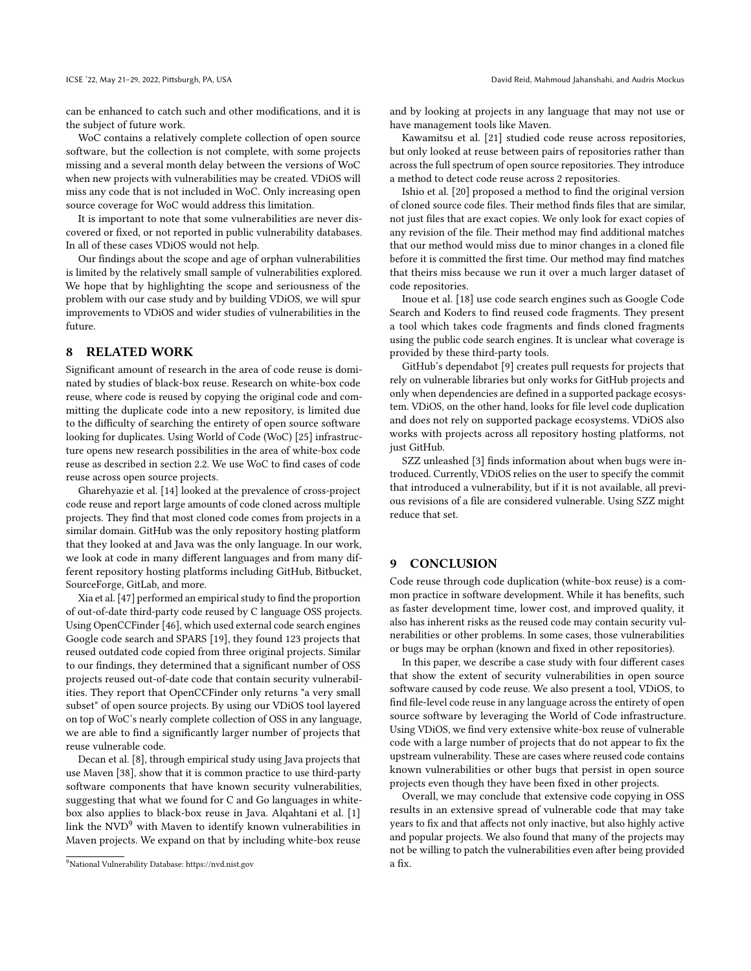ICSE '22, May 21-29, 2022, Pittsburgh, PA, USA David Reid, Mahmoud Jahanshahi, and Audris Mockus

can be enhanced to catch such and other modifications, and it is the subject of future work.

WoC contains a relatively complete collection of open source software, but the collection is not complete, with some projects missing and a several month delay between the versions of WoC when new projects with vulnerabilities may be created. VDiOS will miss any code that is not included in WoC. Only increasing open source coverage for WoC would address this limitation.

It is important to note that some vulnerabilities are never discovered or fixed, or not reported in public vulnerability databases. In all of these cases VDiOS would not help.

Our findings about the scope and age of orphan vulnerabilities is limited by the relatively small sample of vulnerabilities explored. We hope that by highlighting the scope and seriousness of the problem with our case study and by building VDiOS, we will spur improvements to VDiOS and wider studies of vulnerabilities in the future.

## <span id="page-9-0"></span>8 RELATED WORK

Significant amount of research in the area of code reuse is dominated by studies of black-box reuse. Research on white-box code reuse, where code is reused by copying the original code and committing the duplicate code into a new repository, is limited due to the difficulty of searching the entirety of open source software looking for duplicates. Using World of Code (WoC) [\[25\]](#page-10-8) infrastructure opens new research possibilities in the area of white-box code reuse as described in section [2.2.](#page-2-4) We use WoC to find cases of code reuse across open source projects.

Gharehyazie et al. [\[14\]](#page-10-36) looked at the prevalence of cross-project code reuse and report large amounts of code cloned across multiple projects. They find that most cloned code comes from projects in a similar domain. GitHub was the only repository hosting platform that they looked at and Java was the only language. In our work, we look at code in many different languages and from many different repository hosting platforms including GitHub, Bitbucket, SourceForge, GitLab, and more.

Xia et al. [\[47\]](#page-11-1) performed an empirical study to find the proportion of out-of-date third-party code reused by C language OSS projects. Using OpenCCFinder [\[46\]](#page-11-2), which used external code search engines Google code search and SPARS [\[19\]](#page-10-37), they found 123 projects that reused outdated code copied from three original projects. Similar to our findings, they determined that a significant number of OSS projects reused out-of-date code that contain security vulnerabilities. They report that OpenCCFinder only returns "a very small subset" of open source projects. By using our VDiOS tool layered on top of WoC's nearly complete collection of OSS in any language, we are able to find a significantly larger number of projects that reuse vulnerable code.

Decan et al. [\[8\]](#page-10-38), through empirical study using Java projects that use Maven [\[38\]](#page-10-39), show that it is common practice to use third-party software components that have known security vulnerabilities, suggesting that what we found for C and Go languages in whitebox also applies to black-box reuse in Java. Alqahtani et al. [\[1\]](#page-10-40) link the  $NVD<sup>9</sup>$  $NVD<sup>9</sup>$  $NVD<sup>9</sup>$  with Maven to identify known vulnerabilities in Maven projects. We expand on that by including white-box reuse

and by looking at projects in any language that may not use or have management tools like Maven.

Kawamitsu et al. [\[21\]](#page-10-41) studied code reuse across repositories, but only looked at reuse between pairs of repositories rather than across the full spectrum of open source repositories. They introduce a method to detect code reuse across 2 repositories.

Ishio et al. [\[20\]](#page-10-42) proposed a method to find the original version of cloned source code files. Their method finds files that are similar, not just files that are exact copies. We only look for exact copies of any revision of the file. Their method may find additional matches that our method would miss due to minor changes in a cloned file before it is committed the first time. Our method may find matches that theirs miss because we run it over a much larger dataset of code repositories.

Inoue et al. [\[18\]](#page-10-43) use code search engines such as Google Code Search and Koders to find reused code fragments. They present a tool which takes code fragments and finds cloned fragments using the public code search engines. It is unclear what coverage is provided by these third-party tools.

GitHub's dependabot [\[9\]](#page-10-7) creates pull requests for projects that rely on vulnerable libraries but only works for GitHub projects and only when dependencies are defined in a supported package ecosystem. VDiOS, on the other hand, looks for file level code duplication and does not rely on supported package ecosystems. VDiOS also works with projects across all repository hosting platforms, not just GitHub.

SZZ unleashed [\[3\]](#page-10-44) finds information about when bugs were introduced. Currently, VDiOS relies on the user to specify the commit that introduced a vulnerability, but if it is not available, all previous revisions of a file are considered vulnerable. Using SZZ might reduce that set.

#### <span id="page-9-1"></span>9 CONCLUSION

Code reuse through code duplication (white-box reuse) is a common practice in software development. While it has benefits, such as faster development time, lower cost, and improved quality, it also has inherent risks as the reused code may contain security vulnerabilities or other problems. In some cases, those vulnerabilities or bugs may be orphan (known and fixed in other repositories).

In this paper, we describe a case study with four different cases that show the extent of security vulnerabilities in open source software caused by code reuse. We also present a tool, VDiOS, to find file-level code reuse in any language across the entirety of open source software by leveraging the World of Code infrastructure. Using VDiOS, we find very extensive white-box reuse of vulnerable code with a large number of projects that do not appear to fix the upstream vulnerability. These are cases where reused code contains known vulnerabilities or other bugs that persist in open source projects even though they have been fixed in other projects.

Overall, we may conclude that extensive code copying in OSS results in an extensive spread of vulnerable code that may take years to fix and that affects not only inactive, but also highly active and popular projects. We also found that many of the projects may not be willing to patch the vulnerabilities even after being provided a fix.

<span id="page-9-2"></span><sup>9</sup>National Vulnerability Database: https://nvd.nist.gov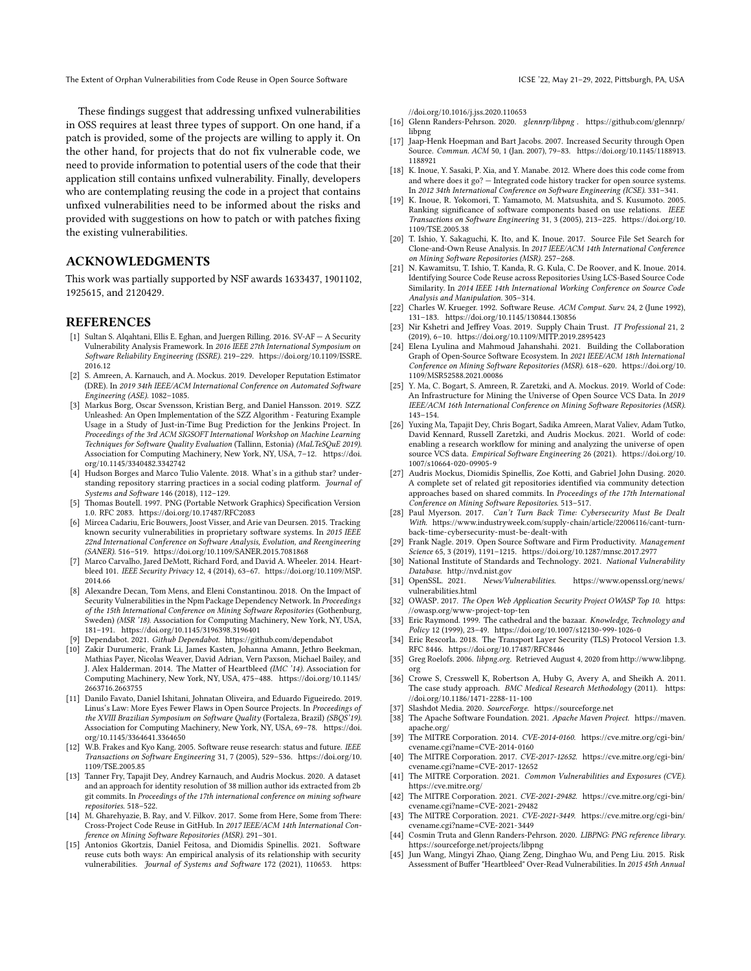The Extent of Orphan Vulnerabilities from Code Reuse in Open Source Software ICSE '22, May 21-29, 2022, Pittsburgh, PA, USA

These findings suggest that addressing unfixed vulnerabilities in OSS requires at least three types of support. On one hand, if a patch is provided, some of the projects are willing to apply it. On the other hand, for projects that do not fix vulnerable code, we need to provide information to potential users of the code that their application still contains unfixed vulnerability. Finally, developers who are contemplating reusing the code in a project that contains unfixed vulnerabilities need to be informed about the risks and provided with suggestions on how to patch or with patches fixing the existing vulnerabilities.

#### ACKNOWLEDGMENTS

This work was partially supported by NSF awards 1633437, 1901102, 1925615, and 2120429.

#### **REFERENCES**

- <span id="page-10-40"></span>[1] Sultan S. Alqahtani, Ellis E. Eghan, and Juergen Rilling. 2016. SV-AF — A Security Vulnerability Analysis Framework. In 2016 IEEE 27th International Symposium on Software Reliability Engineering (ISSRE). 219–229. [https://doi.org/10.1109/ISSRE.](https://doi.org/10.1109/ISSRE.2016.12) [2016.12](https://doi.org/10.1109/ISSRE.2016.12)
- <span id="page-10-14"></span>[2] S. Amreen, A. Karnauch, and A. Mockus. 2019. Developer Reputation Estimator (DRE). In 2019 34th IEEE/ACM International Conference on Automated Software Engineering (ASE). 1082–1085.
- <span id="page-10-44"></span>[3] Markus Borg, Oscar Svensson, Kristian Berg, and Daniel Hansson. 2019. SZZ Unleashed: An Open Implementation of the SZZ Algorithm - Featuring Example Usage in a Study of Just-in-Time Bug Prediction for the Jenkins Project. In Proceedings of the 3rd ACM SIGSOFT International Workshop on Machine Learning Techniques for Software Quality Evaluation (Tallinn, Estonia) (MaLTeSQuE 2019). Association for Computing Machinery, New York, NY, USA, 7–12. [https://doi.](https://doi.org/10.1145/3340482.3342742) [org/10.1145/3340482.3342742](https://doi.org/10.1145/3340482.3342742)
- <span id="page-10-24"></span>[4] Hudson Borges and Marco Tulio Valente. 2018. What's in a github star? understanding repository starring practices in a social coding platform. Journal of Systems and Software 146 (2018), 112–129.
- <span id="page-10-19"></span>[5] Thomas Boutell. 1997. PNG (Portable Network Graphics) Specification Version 1.0. RFC 2083.<https://doi.org/10.17487/RFC2083>
- <span id="page-10-4"></span>[6] Mircea Cadariu, Eric Bouwers, Joost Visser, and Arie van Deursen. 2015. Tracking known security vulnerabilities in proprietary software systems. In 2015 IEEE 22nd International Conference on Software Analysis, Evolution, and Reengineering (SANER). 516–519.<https://doi.org/10.1109/SANER.2015.7081868>
- <span id="page-10-21"></span>[7] Marco Carvalho, Jared DeMott, Richard Ford, and David A. Wheeler. 2014. Heartbleed 101. IEEE Security Privacy 12, 4 (2014), 63–67. [https://doi.org/10.1109/MSP.](https://doi.org/10.1109/MSP.2014.66) [2014.66](https://doi.org/10.1109/MSP.2014.66)
- <span id="page-10-38"></span>Alexandre Decan, Tom Mens, and Eleni Constantinou. 2018. On the Impact of Security Vulnerabilities in the Npm Package Dependency Network. In Proceedings of the 15th International Conference on Mining Software Repositories (Gothenburg, Sweden) (MSR '18). Association for Computing Machinery, New York, NY, USA, 181–191.<https://doi.org/10.1145/3196398.3196401>
- <span id="page-10-7"></span>Dependabot. 2021. Github Dependabot.<https://github.com/dependabot>
- <span id="page-10-27"></span>[10] Zakir Durumeric, Frank Li, James Kasten, Johanna Amann, Jethro Beekman, Mathias Payer, Nicolas Weaver, David Adrian, Vern Paxson, Michael Bailey, and J. Alex Halderman. 2014. The Matter of Heartbleed (IMC '14). Association for Computing Machinery, New York, NY, USA, 475–488. [https://doi.org/10.1145/](https://doi.org/10.1145/2663716.2663755) [2663716.2663755](https://doi.org/10.1145/2663716.2663755)
- <span id="page-10-6"></span>[11] Danilo Favato, Daniel Ishitani, Johnatan Oliveira, and Eduardo Figueiredo. 2019. Linus's Law: More Eyes Fewer Flaws in Open Source Projects. In Proceedings of the XVIII Brazilian Symposium on Software Quality (Fortaleza, Brazil) (SBQS'19). Association for Computing Machinery, New York, NY, USA, 69–78. [https://doi.](https://doi.org/10.1145/3364641.3364650) [org/10.1145/3364641.3364650](https://doi.org/10.1145/3364641.3364650)
- <span id="page-10-1"></span>[12] W.B. Frakes and Kyo Kang. 2005. Software reuse research: status and future. IEEE Transactions on Software Engineering 31, 7 (2005), 529–536. [https://doi.org/10.](https://doi.org/10.1109/TSE.2005.85) [1109/TSE.2005.85](https://doi.org/10.1109/TSE.2005.85)
- <span id="page-10-29"></span>[13] Tanner Fry, Tapajit Dey, Andrey Karnauch, and Audris Mockus. 2020. A dataset and an approach for identity resolution of 38 million author ids extracted from 2b git commits. In Proceedings of the 17th international conference on mining software repositories. 518–522.
- <span id="page-10-36"></span>[14] M. Gharehyazie, B. Ray, and V. Filkov. 2017. Some from Here, Some from There: Cross-Project Code Reuse in GitHub. In 2017 IEEE/ACM 14th International Conference on Mining Software Repositories (MSR). 291–301.
- <span id="page-10-2"></span>[15] Antonios Gkortzis, Daniel Feitosa, and Diomidis Spinellis. 2021. Software reuse cuts both ways: An empirical analysis of its relationship with security vulnerabilities. Journal of Systems and Software 172 (2021), 110653. [https:](https://doi.org/10.1016/j.jss.2020.110653)

[//doi.org/10.1016/j.jss.2020.110653](https://doi.org/10.1016/j.jss.2020.110653)

- <span id="page-10-33"></span>[16] Glenn Randers-Pehrson. 2020. glennrp/libpng . [https://github.com/glennrp/](https://github.com/glennrp/libpng) [libpng](https://github.com/glennrp/libpng)
- <span id="page-10-3"></span>[17] Jaap-Henk Hoepman and Bart Jacobs. 2007. Increased Security through Open Source. Commun. ACM 50, 1 (Jan. 2007), 79–83. [https://doi.org/10.1145/1188913.](https://doi.org/10.1145/1188913.1188921) [1188921](https://doi.org/10.1145/1188913.1188921)
- <span id="page-10-43"></span>[18] K. Inoue, Y. Sasaki, P. Xia, and Y. Manabe. 2012. Where does this code come from and where does it go? — Integrated code history tracker for open source systems. In 2012 34th International Conference on Software Engineering (ICSE). 331–341.
- <span id="page-10-37"></span>[19] K. Inoue, R. Yokomori, T. Yamamoto, M. Matsushita, and S. Kusumoto. 2005. Ranking significance of software components based on use relations. IEEE Transactions on Software Engineering 31, 3 (2005), 213–225. [https://doi.org/10.](https://doi.org/10.1109/TSE.2005.38) [1109/TSE.2005.38](https://doi.org/10.1109/TSE.2005.38)
- <span id="page-10-42"></span>[20] T. Ishio, Y. Sakaguchi, K. Ito, and K. Inoue. 2017. Source File Set Search for Clone-and-Own Reuse Analysis. In 2017 IEEE/ACM 14th International Conference on Mining Software Repositories (MSR). 257–268.
- <span id="page-10-41"></span>[21] N. Kawamitsu, T. Ishio, T. Kanda, R. G. Kula, C. De Roover, and K. Inoue. 2014. Identifying Source Code Reuse across Repositories Using LCS-Based Source Code Similarity. In 2014 IEEE 14th International Working Conference on Source Code Analysis and Manipulation. 305–314.
- <span id="page-10-13"></span>[22] Charles W. Krueger. 1992. Software Reuse. ACM Comput. Surv. 24, 2 (June 1992), 131–183.<https://doi.org/10.1145/130844.130856>
- <span id="page-10-11"></span>[23] Nir Kshetri and Jeffrey Voas. 2019. Supply Chain Trust. IT Professional 21, 2 (2019), 6–10.<https://doi.org/10.1109/MITP.2019.2895423>
- <span id="page-10-15"></span>[24] Elena Lyulina and Mahmoud Jahanshahi. 2021. Building the Collaboration Graph of Open-Source Software Ecosystem. In 2021 IEEE/ACM 18th International Conference on Mining Software Repositories (MSR). 618–620. [https://doi.org/10.](https://doi.org/10.1109/MSR52588.2021.00086) [1109/MSR52588.2021.00086](https://doi.org/10.1109/MSR52588.2021.00086)
- <span id="page-10-8"></span>[25] Y. Ma, C. Bogart, S. Amreen, R. Zaretzki, and A. Mockus. 2019. World of Code: An Infrastructure for Mining the Universe of Open Source VCS Data. In 2019 IEEE/ACM 16th International Conference on Mining Software Repositories (MSR). 143–154.
- <span id="page-10-18"></span>[26] Yuxing Ma, Tapajit Dey, Chris Bogart, Sadika Amreen, Marat Valiev, Adam Tutko, David Kennard, Russell Zaretzki, and Audris Mockus. 2021. World of code: enabling a research workflow for mining and analyzing the universe of open source VCS data. Empirical Software Engineering 26 (2021). [https://doi.org/10.](https://doi.org/10.1007/s10664-020-09905-9) [1007/s10664-020-09905-9](https://doi.org/10.1007/s10664-020-09905-9)
- <span id="page-10-16"></span>[27] Audris Mockus, Diomidis Spinellis, Zoe Kotti, and Gabriel John Dusing. 2020. A complete set of related git repositories identified via community detection approaches based on shared commits. In Proceedings of the 17th International Conference on Mining Software Repositories. 513–517.
- <span id="page-10-12"></span>[28] Paul Myerson. 2017. Can't Turn Back Time: Cybersecurity Must Be Dealt With. [https://www.industryweek.com/supply-chain/article/22006116/cant-turn](https://www.industryweek.com/supply-chain/article/22006116/cant-turn-back-time-cybersecurity-must-be-dealt-with)[back-time-cybersecurity-must-be-dealt-with](https://www.industryweek.com/supply-chain/article/22006116/cant-turn-back-time-cybersecurity-must-be-dealt-with)
- <span id="page-10-0"></span>[29] Frank Nagle. 2019. Open Source Software and Firm Productivity. Management Science 65, 3 (2019), 1191–1215.<https://doi.org/10.1287/mnsc.2017.2977>
- <span id="page-10-35"></span>[30] National Institute of Standards and Technology. 2021. National Vulnerability Database.<http://nvd.nist.gov>
- <span id="page-10-23"></span>[31] OpenSSL. 2021. News/Vulnerabilities. [https://www.openssl.org/news/](https://www.openssl.org/news/vulnerabilities.html) [vulnerabilities.html](https://www.openssl.org/news/vulnerabilities.html)
- <span id="page-10-10"></span>[32] OWASP. 2017. The Open Web Application Security Project OWASP Top 10. [https:](https://owasp.org/www-project-top-ten) [//owasp.org/www-project-top-ten](https://owasp.org/www-project-top-ten)
- <span id="page-10-5"></span>[33] Eric Raymond. 1999. The cathedral and the bazaar. Knowledge, Technology and Policy 12 (1999), 23–49.<https://doi.org/10.1007/s12130-999-1026-0>
- <span id="page-10-20"></span>[34] Eric Rescorla. 2018. The Transport Layer Security (TLS) Protocol Version 1.3. RFC 8446.<https://doi.org/10.17487/RFC8446>
- <span id="page-10-30"></span>[35] Greg Roelofs. 2006. libpng.org. Retrieved August 4, 2020 from [http://www.libpng.](http://www.libpng.org) [org](http://www.libpng.org)
- <span id="page-10-9"></span>[36] Crowe S, Cresswell K, Robertson A, Huby G, Avery A, and Sheikh A. 2011. The case study approach. BMC Medical Research Methodology (2011). [https:](https://doi.org/10.1186/1471-2288-11-100) [//doi.org/10.1186/1471-2288-11-100](https://doi.org/10.1186/1471-2288-11-100)
- <span id="page-10-32"></span>Slashdot Media. 2020. SourceForge.<https://sourceforge.net>
- <span id="page-10-39"></span>[38] The Apache Software Foundation. 2021. Apache Maven Project. [https://maven.](https://maven.apache.org/) [apache.org/](https://maven.apache.org/)
- <span id="page-10-25"></span>[39] The MITRE Corporation. 2014. CVE-2014-0160. [https://cve.mitre.org/cgi-bin/](https://cve.mitre.org/cgi-bin/cvename.cgi?name=CVE-2014-0160) [cvename.cgi?name=CVE-2014-0160](https://cve.mitre.org/cgi-bin/cvename.cgi?name=CVE-2014-0160)
- <span id="page-10-34"></span>[40] The MITRE Corporation. 2017. CVE-2017-12652. [https://cve.mitre.org/cgi-bin/](https://cve.mitre.org/cgi-bin/cvename.cgi?name=CVE-2017-12652) [cvename.cgi?name=CVE-2017-12652](https://cve.mitre.org/cgi-bin/cvename.cgi?name=CVE-2017-12652)
- <span id="page-10-17"></span>[41] The MITRE Corporation. 2021. Common Vulnerabilities and Exposures (CVE). <https://cve.mitre.org/>
- <span id="page-10-28"></span>[42] The MITRE Corporation. 2021. CVE-2021-29482. [https://cve.mitre.org/cgi-bin/](https://cve.mitre.org/cgi-bin/cvename.cgi?name=CVE-2021-29482) [cvename.cgi?name=CVE-2021-29482](https://cve.mitre.org/cgi-bin/cvename.cgi?name=CVE-2021-29482)
- <span id="page-10-22"></span>[43] The MITRE Corporation. 2021. CVE-2021-3449. [https://cve.mitre.org/cgi-bin/](https://cve.mitre.org/cgi-bin/cvename.cgi?name=CVE-2021-3449) [cvename.cgi?name=CVE-2021-3449](https://cve.mitre.org/cgi-bin/cvename.cgi?name=CVE-2021-3449)
- <span id="page-10-31"></span>[44] Cosmin Truta and Glenn Randers-Pehrson. 2020. LIBPNG: PNG reference library. <https://sourceforge.net/projects/libpng>
- <span id="page-10-26"></span>[45] Jun Wang, Mingyi Zhao, Qiang Zeng, Dinghao Wu, and Peng Liu. 2015. Risk Assessment of Buffer "Heartbleed" Over-Read Vulnerabilities. In 2015 45th Annual